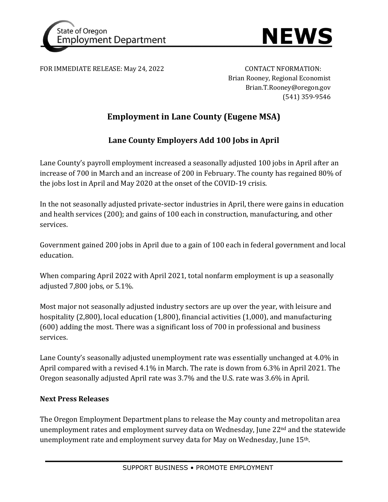



FOR IMMEDIATE RELEASE: May 24, 2022 CONTACT NFORMATION:

Brian Rooney, Regional Economist Brian.T.Rooney@oregon.gov (541) 359-9546

## **Employment in Lane County (Eugene MSA)**

## **Lane County Employers Add 100 Jobs in April**

Lane County's payroll employment increased a seasonally adjusted 100 jobs in April after an increase of 700 in March and an increase of 200 in February. The county has regained 80% of the jobs lost in April and May 2020 at the onset of the COVID-19 crisis.

In the not seasonally adjusted private-sector industries in April, there were gains in education and health services (200); and gains of 100 each in construction, manufacturing, and other services.

Government gained 200 jobs in April due to a gain of 100 each in federal government and local education.

When comparing April 2022 with April 2021, total nonfarm employment is up a seasonally adjusted 7,800 jobs, or 5.1%.

Most major not seasonally adjusted industry sectors are up over the year, with leisure and hospitality (2,800), local education (1,800), financial activities (1,000), and manufacturing (600) adding the most. There was a significant loss of 700 in professional and business services.

Lane County's seasonally adjusted unemployment rate was essentially unchanged at 4.0% in April compared with a revised 4.1% in March. The rate is down from 6.3% in April 2021. The Oregon seasonally adjusted April rate was 3.7% and the U.S. rate was 3.6% in April.

## **Next Press Releases**

The Oregon Employment Department plans to release the May county and metropolitan area unemployment rates and employment survey data on Wednesday, June 22<sup>nd</sup> and the statewide unemployment rate and employment survey data for May on Wednesday, June 15th.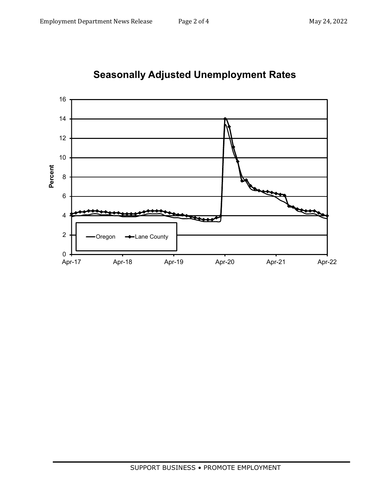

**Seasonally Adjusted Unemployment Rates**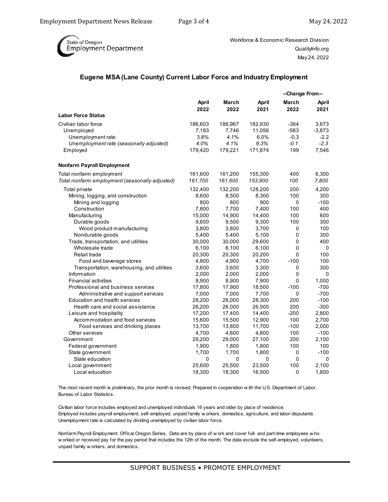

Workforce & Economic Research Division QualityInfo.org May 24, 2022

## **Eugene MSA (Lane County) Current Labor Force and Industry Employment**

|                                                |                      |               |                      | --Change From-- |               |
|------------------------------------------------|----------------------|---------------|----------------------|-----------------|---------------|
|                                                | <b>April</b><br>2022 | March<br>2022 | <b>April</b><br>2021 | March<br>2022   | April<br>2021 |
| <b>Labor Force Status</b>                      |                      |               |                      |                 |               |
| Civilian labor force                           | 186,603              | 186,967       | 182,930              | $-364$          | 3,673         |
| Unemployed                                     | 7,183                | 7,746         | 11,056               | $-563$          | $-3,873$      |
| Unemployment rate                              | 3.8%                 | 4.1%          | 6.0%                 | $-0.3$          | $-2.2$        |
| Unemployment rate (seasonally adjusted)        | 4.0%                 | 4.1%          | 6.3%                 | -0.1            | $-2.3$        |
| Employed                                       | 179,420              | 179,221       | 171,874              | 199             | 7,546         |
| Nonfarm Payroll Employment                     |                      |               |                      |                 |               |
| Total nonfarm employment                       | 161,600              | 161,200       | 155,300              | 400             | 6,300         |
| Total nonfarm employment (seasonally adjusted) | 161,700              | 161,600       | 153,900              | 100             | 7,800         |
| Total private                                  | 132,400              | 132,200       | 128,200              | 200             | 4,200         |
| Mining, logging, and construction              | 8,600                | 8,500         | 8,300                | 100             | 300           |
| Mining and logging                             | 800                  | 800           | 900                  | $\Omega$        | $-100$        |
| Construction                                   | 7,800                | 7,700         | 7,400                | 100             | 400           |
| Manufacturing                                  | 15,000               | 14,900        | 14,400               | 100             | 600           |
| Durable goods                                  | 9,600                | 9,500         | 9,300                | 100             | 300           |
| Wood product manufacturing                     | 3,800                | 3,800         | 3,700                | 0               | 100           |
| Nondurable goods                               | 5,400                | 5,400         | 5,100                | $\Omega$        | 300           |
| Trade, transportation, and utilities           | 30,000               | 30,000        | 29,600               | $\Omega$        | 400           |
| Wholesale trade                                | 6,100                | 6,100         | 6,100                | 0               | 0             |
| Retail trade                                   | 20,300               | 20,300        | 20,200               | $\Omega$        | 100           |
| Food and beverage stores                       | 4,800                | 4,900         | 4,700                | $-100$          | 100           |
| Transportation, warehousing, and utilities     | 3,600                | 3,600         | 3,300                | 0               | 300           |
| Information                                    | 2,000                | 2,000         | 2,000                | 0               | 0             |
| <b>Financial activities</b>                    | 8,900                | 8,900         | 7,900                | $\Omega$        | 1,000         |
| Professional and business services             | 17,800               | 17,900        | 18,500               | $-100$          | $-700$        |
| Administrative and support services            | 7,000                | 7,000         | 7,700                | 0               | -700          |
| <b>Education and health services</b>           | 28,200               | 28,000        | 28,300               | 200             | $-100$        |
| Health care and social assistance              | 26,200               | 26,000        | 26,500               | 200             | $-300$        |
| Leisure and hospitality                        | 17,200               | 17,400        | 14,400               | $-200$          | 2,800         |
| Accommodation and food services                | 15,600               | 15,500        | 12,900               | 100             | 2,700         |
| Food services and drinking places              | 13,700               | 13,800        | 11,700               | $-100$          | 2,000         |
| Other services                                 | 4,700                | 4,600         | 4,800                | 100             | $-100$        |
| Government                                     | 29,200               | 29,000        | 27,100               | 200             | 2,100         |
| Federal government                             | 1,900                | 1,800         | 1,800                | 100             | 100           |
| State government                               | 1,700                | 1,700         | 1,800                | 0               | $-100$        |
| State education                                | 0                    | 0             | 0                    | 0               | 0             |
| Local government                               | 25,600               | 25,500        | 23,500               | 100             | 2,100         |
| Local education                                | 18,300               | 18,300        | 16,500               | $\Omega$        | 1,800         |

The most recent month is preliminary, the prior month is revised. Prepared in cooperation w ith the U.S. Department of Labor, Bureau of Labor Statistics.

Civilian labor force includes employed and unemployed individuals 16 years and older by place of residence. Employed includes payroll employment, self-employed, unpaid family w orkers, domestics, agriculture, and labor disputants. Unemployment rate is calculated by dividing unemployed by civilian labor force.

Nonfarm Payroll Employment: Offical Oregon Series. Data are by place of w ork and cover full- and part-time employees w ho w orked or received pay for the pay period that includes the 12th of the month. The data exclude the self-employed, volunteers, unpaid family w orkers, and domestics.